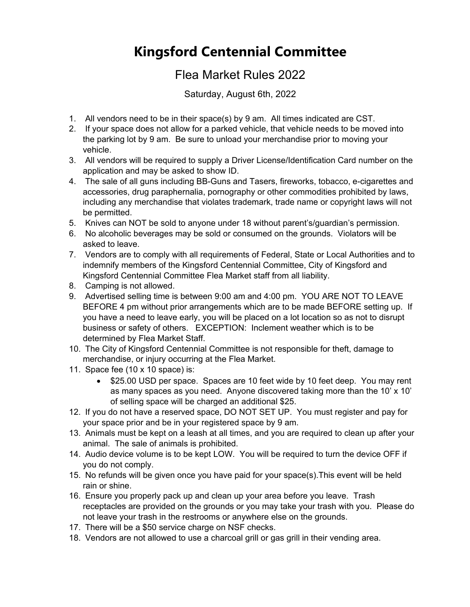## **Kingsford Centennial Committee**

## Flea Market Rules 2022

Saturday, August 6th, 2022

- 1. All vendors need to be in their space(s) by 9 am. All times indicated are CST.
- 2. If your space does not allow for a parked vehicle, that vehicle needs to be moved into the parking lot by 9 am. Be sure to unload your merchandise prior to moving your vehicle.
- 3. All vendors will be required to supply a Driver License/Identification Card number on the application and may be asked to show ID.
- 4. The sale of all guns including BB-Guns and Tasers, fireworks, tobacco, e-cigarettes and accessories, drug paraphernalia, pornography or other commodities prohibited by laws, including any merchandise that violates trademark, trade name or copyright laws will not be permitted.
- 5. Knives can NOT be sold to anyone under 18 without parent's/guardian's permission.
- 6. No alcoholic beverages may be sold or consumed on the grounds. Violators will be asked to leave.
- 7. Vendors are to comply with all requirements of Federal, State or Local Authorities and to indemnify members of the Kingsford Centennial Committee, City of Kingsford and Kingsford Centennial Committee Flea Market staff from all liability.
- 8. Camping is not allowed.
- 9. Advertised selling time is between 9:00 am and 4:00 pm. YOU ARE NOT TO LEAVE BEFORE 4 pm without prior arrangements which are to be made BEFORE setting up. If you have a need to leave early, you will be placed on a lot location so as not to disrupt business or safety of others. EXCEPTION: Inclement weather which is to be determined by Flea Market Staff.
- 10. The City of Kingsford Centennial Committee is not responsible for theft, damage to merchandise, or injury occurring at the Flea Market.
- 11. Space fee (10 x 10 space) is:
	- \$25.00 USD per space. Spaces are 10 feet wide by 10 feet deep. You may rent as many spaces as you need. Anyone discovered taking more than the 10' x 10' of selling space will be charged an additional \$25.
- 12. If you do not have a reserved space, DO NOT SET UP. You must register and pay for your space prior and be in your registered space by 9 am.
- 13. Animals must be kept on a leash at all times, and you are required to clean up after your animal. The sale of animals is prohibited.
- 14. Audio device volume is to be kept LOW. You will be required to turn the device OFF if you do not comply.
- 15. No refunds will be given once you have paid for your space(s).This event will be held rain or shine.
- 16. Ensure you properly pack up and clean up your area before you leave. Trash receptacles are provided on the grounds or you may take your trash with you. Please do not leave your trash in the restrooms or anywhere else on the grounds.
- 17. There will be a \$50 service charge on NSF checks.
- 18. Vendors are not allowed to use a charcoal grill or gas grill in their vending area.